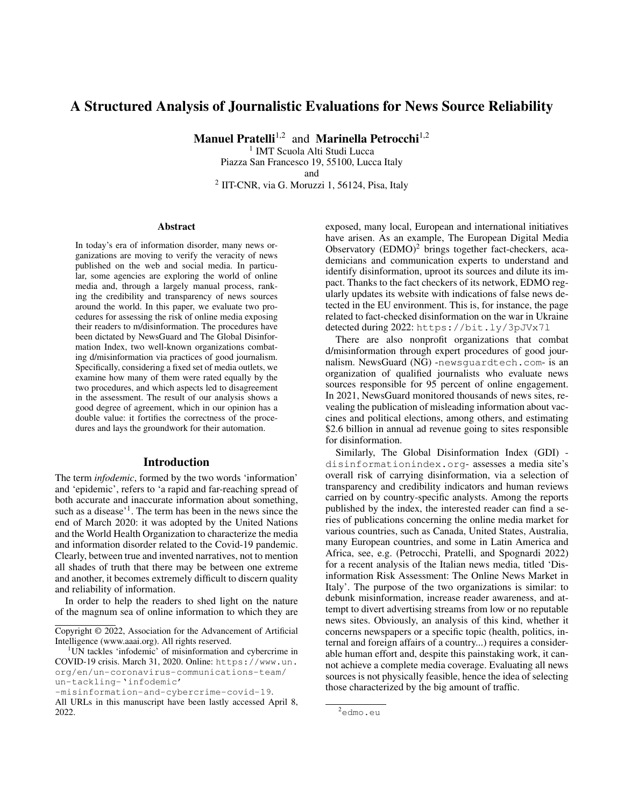## A Structured Analysis of Journalistic Evaluations for News Source Reliability

Manuel Pratelli<sup>1,2</sup> and Marinella Petrocchi<sup>1,2</sup>

<sup>1</sup> IMT Scuola Alti Studi Lucca Piazza San Francesco 19, 55100, Lucca Italy and

<sup>2</sup> IIT-CNR, via G. Moruzzi 1, 56124, Pisa, Italy

#### **Abstract**

In today's era of information disorder, many news organizations are moving to verify the veracity of news published on the web and social media. In particular, some agencies are exploring the world of online media and, through a largely manual process, ranking the credibility and transparency of news sources around the world. In this paper, we evaluate two procedures for assessing the risk of online media exposing their readers to m/disinformation. The procedures have been dictated by NewsGuard and The Global Disinformation Index, two well-known organizations combating d/misinformation via practices of good journalism. Specifically, considering a fixed set of media outlets, we examine how many of them were rated equally by the two procedures, and which aspects led to disagreement in the assessment. The result of our analysis shows a good degree of agreement, which in our opinion has a double value: it fortifies the correctness of the procedures and lays the groundwork for their automation.

## Introduction

The term *infodemic*, formed by the two words 'information' and 'epidemic', refers to 'a rapid and far-reaching spread of both accurate and inaccurate information about something, such as a disease'<sup>1</sup>. The term has been in the news since the end of March 2020: it was adopted by the United Nations and the World Health Organization to characterize the media and information disorder related to the Covid-19 pandemic. Clearly, between true and invented narratives, not to mention all shades of truth that there may be between one extreme and another, it becomes extremely difficult to discern quality and reliability of information.

In order to help the readers to shed light on the nature of the magnum sea of online information to which they are exposed, many local, European and international initiatives have arisen. As an example, The European Digital Media Observatory  $(EDMO)^2$  brings together fact-checkers, academicians and communication experts to understand and identify disinformation, uproot its sources and dilute its impact. Thanks to the fact checkers of its network, EDMO regularly updates its website with indications of false news detected in the EU environment. This is, for instance, the page related to fact-checked disinformation on the war in Ukraine detected during 2022: https://bit.ly/3pJVx7l

There are also nonprofit organizations that combat d/misinformation through expert procedures of good journalism. NewsGuard (NG) -newsguardtech.com- is an organization of qualified journalists who evaluate news sources responsible for 95 percent of online engagement. In 2021, NewsGuard monitored thousands of news sites, revealing the publication of misleading information about vaccines and political elections, among others, and estimating \$2.6 billion in annual ad revenue going to sites responsible for disinformation.

Similarly, The Global Disinformation Index (GDI) disinformationindex.org- assesses a media site's overall risk of carrying disinformation, via a selection of transparency and credibility indicators and human reviews carried on by country-specific analysts. Among the reports published by the index, the interested reader can find a series of publications concerning the online media market for various countries, such as Canada, United States, Australia, many European countries, and some in Latin America and Africa, see, e.g. (Petrocchi, Pratelli, and Spognardi 2022) for a recent analysis of the Italian news media, titled 'Disinformation Risk Assessment: The Online News Market in Italy'. The purpose of the two organizations is similar: to debunk misinformation, increase reader awareness, and attempt to divert advertising streams from low or no reputable news sites. Obviously, an analysis of this kind, whether it concerns newspapers or a specific topic (health, politics, internal and foreign affairs of a country...) requires a considerable human effort and, despite this painstaking work, it cannot achieve a complete media coverage. Evaluating all news sources is not physically feasible, hence the idea of selecting those characterized by the big amount of traffic.

Copyright © 2022, Association for the Advancement of Artificial Intelligence (www.aaai.org). All rights reserved.

<sup>&</sup>lt;sup>1</sup>UN tackles 'infodemic' of misinformation and cybercrime in COVID-19 crisis. March 31, 2020. Online: https://www.un. org/en/un-coronavirus-communications-team/ un-tackling-'infodemic'

<sup>-</sup>misinformation-and-cybercrime-covid-19.

All URLs in this manuscript have been lastly accessed April 8, 2022.

<sup>2</sup>edmo.eu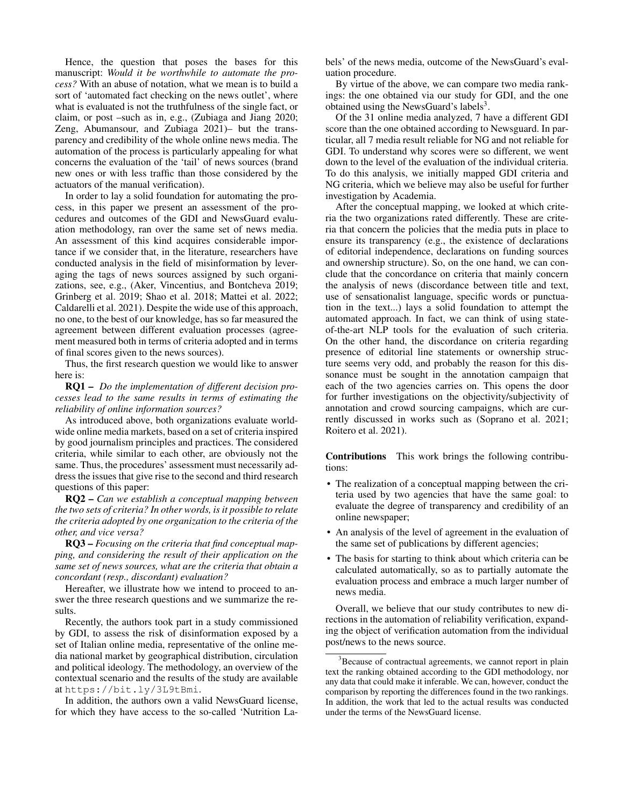Hence, the question that poses the bases for this manuscript: *Would it be worthwhile to automate the process?* With an abuse of notation, what we mean is to build a sort of 'automated fact checking on the news outlet', where what is evaluated is not the truthfulness of the single fact, or claim, or post –such as in, e.g., (Zubiaga and Jiang 2020; Zeng, Abumansour, and Zubiaga 2021)– but the transparency and credibility of the whole online news media. The automation of the process is particularly appealing for what concerns the evaluation of the 'tail' of news sources (brand new ones or with less traffic than those considered by the actuators of the manual verification).

In order to lay a solid foundation for automating the process, in this paper we present an assessment of the procedures and outcomes of the GDI and NewsGuard evaluation methodology, ran over the same set of news media. An assessment of this kind acquires considerable importance if we consider that, in the literature, researchers have conducted analysis in the field of misinformation by leveraging the tags of news sources assigned by such organizations, see, e.g., (Aker, Vincentius, and Bontcheva 2019; Grinberg et al. 2019; Shao et al. 2018; Mattei et al. 2022; Caldarelli et al. 2021). Despite the wide use of this approach, no one, to the best of our knowledge, has so far measured the agreement between different evaluation processes (agreement measured both in terms of criteria adopted and in terms of final scores given to the news sources).

Thus, the first research question we would like to answer here is:

RQ1 – *Do the implementation of different decision processes lead to the same results in terms of estimating the reliability of online information sources?*

As introduced above, both organizations evaluate worldwide online media markets, based on a set of criteria inspired by good journalism principles and practices. The considered criteria, while similar to each other, are obviously not the same. Thus, the procedures' assessment must necessarily address the issues that give rise to the second and third research questions of this paper:

RQ2 – *Can we establish a conceptual mapping between the two sets of criteria? In other words, is it possible to relate the criteria adopted by one organization to the criteria of the other, and vice versa?*

RQ3 – *Focusing on the criteria that find conceptual mapping, and considering the result of their application on the same set of news sources, what are the criteria that obtain a concordant (resp., discordant) evaluation?*

Hereafter, we illustrate how we intend to proceed to answer the three research questions and we summarize the results.

Recently, the authors took part in a study commissioned by GDI, to assess the risk of disinformation exposed by a set of Italian online media, representative of the online media national market by geographical distribution, circulation and political ideology. The methodology, an overview of the contextual scenario and the results of the study are available at https://bit.ly/3L9tBmi.

In addition, the authors own a valid NewsGuard license, for which they have access to the so-called 'Nutrition Labels' of the news media, outcome of the NewsGuard's evaluation procedure.

By virtue of the above, we can compare two media rankings: the one obtained via our study for GDI, and the one obtained using the NewsGuard's labels<sup>3</sup>.

Of the 31 online media analyzed, 7 have a different GDI score than the one obtained according to Newsguard. In particular, all 7 media result reliable for NG and not reliable for GDI. To understand why scores were so different, we went down to the level of the evaluation of the individual criteria. To do this analysis, we initially mapped GDI criteria and NG criteria, which we believe may also be useful for further investigation by Academia.

After the conceptual mapping, we looked at which criteria the two organizations rated differently. These are criteria that concern the policies that the media puts in place to ensure its transparency (e.g., the existence of declarations of editorial independence, declarations on funding sources and ownership structure). So, on the one hand, we can conclude that the concordance on criteria that mainly concern the analysis of news (discordance between title and text, use of sensationalist language, specific words or punctuation in the text...) lays a solid foundation to attempt the automated approach. In fact, we can think of using stateof-the-art NLP tools for the evaluation of such criteria. On the other hand, the discordance on criteria regarding presence of editorial line statements or ownership structure seems very odd, and probably the reason for this dissonance must be sought in the annotation campaign that each of the two agencies carries on. This opens the door for further investigations on the objectivity/subjectivity of annotation and crowd sourcing campaigns, which are currently discussed in works such as (Soprano et al. 2021; Roitero et al. 2021).

Contributions This work brings the following contributions:

- The realization of a conceptual mapping between the criteria used by two agencies that have the same goal: to evaluate the degree of transparency and credibility of an online newspaper;
- An analysis of the level of agreement in the evaluation of the same set of publications by different agencies;
- The basis for starting to think about which criteria can be calculated automatically, so as to partially automate the evaluation process and embrace a much larger number of news media.

Overall, we believe that our study contributes to new directions in the automation of reliability verification, expanding the object of verification automation from the individual post/news to the news source.

<sup>&</sup>lt;sup>3</sup>Because of contractual agreements, we cannot report in plain text the ranking obtained according to the GDI methodology, nor any data that could make it inferable. We can, however, conduct the comparison by reporting the differences found in the two rankings. In addition, the work that led to the actual results was conducted under the terms of the NewsGuard license.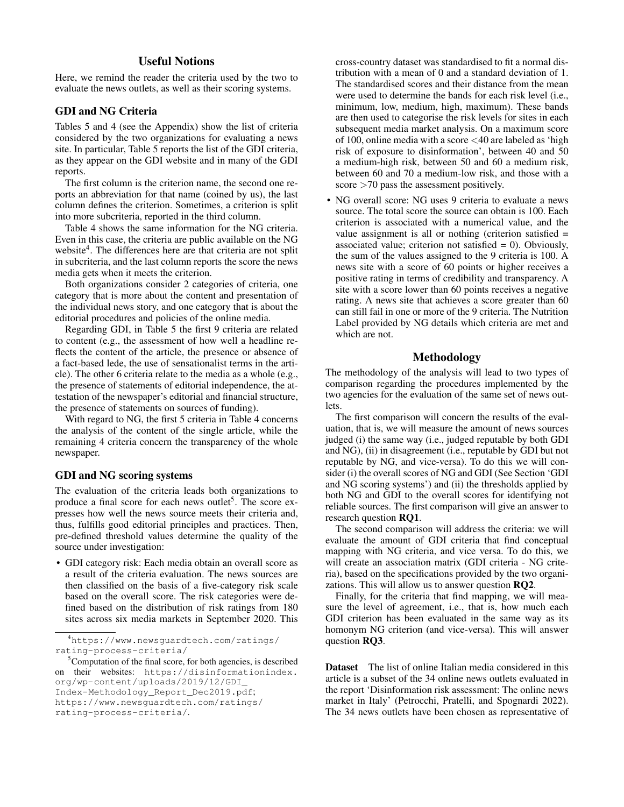## Useful Notions

Here, we remind the reader the criteria used by the two to evaluate the news outlets, as well as their scoring systems.

## GDI and NG Criteria

Tables 5 and 4 (see the Appendix) show the list of criteria considered by the two organizations for evaluating a news site. In particular, Table 5 reports the list of the GDI criteria, as they appear on the GDI website and in many of the GDI reports.

The first column is the criterion name, the second one reports an abbreviation for that name (coined by us), the last column defines the criterion. Sometimes, a criterion is split into more subcriteria, reported in the third column.

Table 4 shows the same information for the NG criteria. Even in this case, the criteria are public available on the NG website<sup>4</sup>. The differences here are that criteria are not split in subcriteria, and the last column reports the score the news media gets when it meets the criterion.

Both organizations consider 2 categories of criteria, one category that is more about the content and presentation of the individual news story, and one category that is about the editorial procedures and policies of the online media.

Regarding GDI, in Table 5 the first 9 criteria are related to content (e.g., the assessment of how well a headline reflects the content of the article, the presence or absence of a fact-based lede, the use of sensationalist terms in the article). The other 6 criteria relate to the media as a whole (e.g., the presence of statements of editorial independence, the attestation of the newspaper's editorial and financial structure, the presence of statements on sources of funding).

With regard to NG, the first 5 criteria in Table 4 concerns the analysis of the content of the single article, while the remaining 4 criteria concern the transparency of the whole newspaper.

## GDI and NG scoring systems

The evaluation of the criteria leads both organizations to produce a final score for each news outlet<sup>5</sup>. The score expresses how well the news source meets their criteria and, thus, fulfills good editorial principles and practices. Then, pre-defined threshold values determine the quality of the source under investigation:

• GDI category risk: Each media obtain an overall score as a result of the criteria evaluation. The news sources are then classified on the basis of a five-category risk scale based on the overall score. The risk categories were defined based on the distribution of risk ratings from 180 sites across six media markets in September 2020. This

```
Index-Methodology_Report_Dec2019.pdf;
```
https://www.newsguardtech.com/ratings/

cross-country dataset was standardised to fit a normal distribution with a mean of 0 and a standard deviation of 1. The standardised scores and their distance from the mean were used to determine the bands for each risk level (i.e., minimum, low, medium, high, maximum). These bands are then used to categorise the risk levels for sites in each subsequent media market analysis. On a maximum score of 100, online media with a score <40 are labeled as 'high risk of exposure to disinformation', between 40 and 50 a medium-high risk, between 50 and 60 a medium risk, between 60 and 70 a medium-low risk, and those with a score >70 pass the assessment positively.

• NG overall score: NG uses 9 criteria to evaluate a news source. The total score the source can obtain is 100. Each criterion is associated with a numerical value, and the value assignment is all or nothing (criterion satisfied = associated value; criterion not satisfied  $= 0$ ). Obviously, the sum of the values assigned to the 9 criteria is 100. A news site with a score of 60 points or higher receives a positive rating in terms of credibility and transparency. A site with a score lower than 60 points receives a negative rating. A news site that achieves a score greater than 60 can still fail in one or more of the 9 criteria. The Nutrition Label provided by NG details which criteria are met and which are not.

## Methodology

The methodology of the analysis will lead to two types of comparison regarding the procedures implemented by the two agencies for the evaluation of the same set of news outlets.

The first comparison will concern the results of the evaluation, that is, we will measure the amount of news sources judged (i) the same way (i.e., judged reputable by both GDI and NG), (ii) in disagreement (i.e., reputable by GDI but not reputable by NG, and vice-versa). To do this we will consider (i) the overall scores of NG and GDI (See Section 'GDI and NG scoring systems') and (ii) the thresholds applied by both NG and GDI to the overall scores for identifying not reliable sources. The first comparison will give an answer to research question RQ1.

The second comparison will address the criteria: we will evaluate the amount of GDI criteria that find conceptual mapping with NG criteria, and vice versa. To do this, we will create an association matrix (GDI criteria - NG criteria), based on the specifications provided by the two organizations. This will allow us to answer question RQ2.

Finally, for the criteria that find mapping, we will measure the level of agreement, i.e., that is, how much each GDI criterion has been evaluated in the same way as its homonym NG criterion (and vice-versa). This will answer question RQ3.

Dataset The list of online Italian media considered in this article is a subset of the 34 online news outlets evaluated in the report 'Disinformation risk assessment: The online news market in Italy' (Petrocchi, Pratelli, and Spognardi 2022). The 34 news outlets have been chosen as representative of

<sup>4</sup>https://www.newsguardtech.com/ratings/ rating-process-criteria/

 ${}^{5}$ Computation of the final score, for both agencies, is described on their websites: https://disinformationindex. org/wp-content/uploads/2019/12/GDI\_

rating-process-criteria/.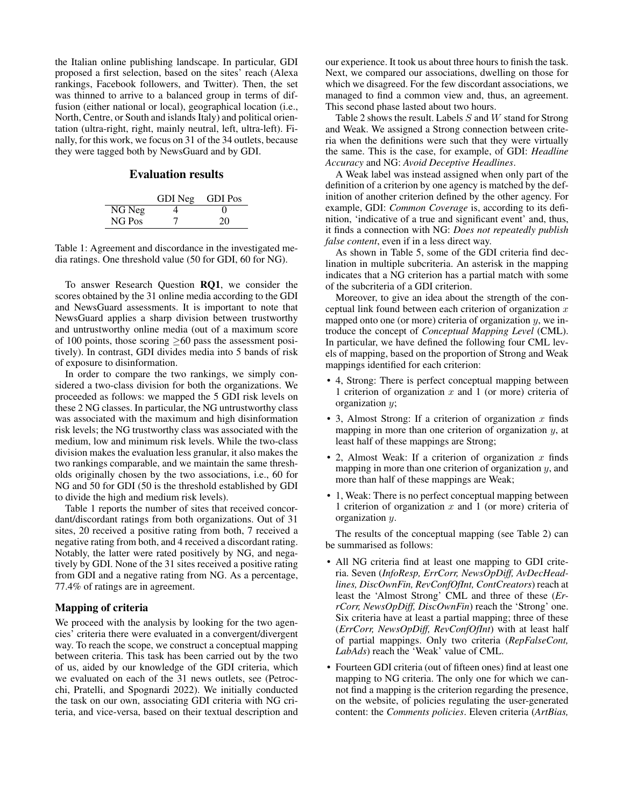the Italian online publishing landscape. In particular, GDI proposed a first selection, based on the sites' reach (Alexa rankings, Facebook followers, and Twitter). Then, the set was thinned to arrive to a balanced group in terms of diffusion (either national or local), geographical location (i.e., North, Centre, or South and islands Italy) and political orientation (ultra-right, right, mainly neutral, left, ultra-left). Finally, for this work, we focus on 31 of the 34 outlets, because they were tagged both by NewsGuard and by GDI.

## Evaluation results

|        | GDI Neg | <b>GDI</b> Pos |
|--------|---------|----------------|
| NG Neg |         | 0              |
| NG Pos |         | 20             |

Table 1: Agreement and discordance in the investigated media ratings. One threshold value (50 for GDI, 60 for NG).

To answer Research Question RQ1, we consider the scores obtained by the 31 online media according to the GDI and NewsGuard assessments. It is important to note that NewsGuard applies a sharp division between trustworthy and untrustworthy online media (out of a maximum score of 100 points, those scoring  $\geq 60$  pass the assessment positively). In contrast, GDI divides media into 5 bands of risk of exposure to disinformation.

In order to compare the two rankings, we simply considered a two-class division for both the organizations. We proceeded as follows: we mapped the 5 GDI risk levels on these 2 NG classes. In particular, the NG untrustworthy class was associated with the maximum and high disinformation risk levels; the NG trustworthy class was associated with the medium, low and minimum risk levels. While the two-class division makes the evaluation less granular, it also makes the two rankings comparable, and we maintain the same thresholds originally chosen by the two associations, i.e., 60 for NG and 50 for GDI (50 is the threshold established by GDI to divide the high and medium risk levels).

Table 1 reports the number of sites that received concordant/discordant ratings from both organizations. Out of 31 sites, 20 received a positive rating from both, 7 received a negative rating from both, and 4 received a discordant rating. Notably, the latter were rated positively by NG, and negatively by GDI. None of the 31 sites received a positive rating from GDI and a negative rating from NG. As a percentage, 77.4% of ratings are in agreement.

#### Mapping of criteria

We proceed with the analysis by looking for the two agencies' criteria there were evaluated in a convergent/divergent way. To reach the scope, we construct a conceptual mapping between criteria. This task has been carried out by the two of us, aided by our knowledge of the GDI criteria, which we evaluated on each of the 31 news outlets, see (Petrocchi, Pratelli, and Spognardi 2022). We initially conducted the task on our own, associating GDI criteria with NG criteria, and vice-versa, based on their textual description and

our experience. It took us about three hours to finish the task. Next, we compared our associations, dwelling on those for which we disagreed. For the few discordant associations, we managed to find a common view and, thus, an agreement. This second phase lasted about two hours.

Table 2 shows the result. Labels S and W stand for Strong and Weak. We assigned a Strong connection between criteria when the definitions were such that they were virtually the same. This is the case, for example, of GDI: *Headline Accuracy* and NG: *Avoid Deceptive Headlines*.

A Weak label was instead assigned when only part of the definition of a criterion by one agency is matched by the definition of another criterion defined by the other agency. For example, GDI: *Common Coverage* is, according to its definition, 'indicative of a true and significant event' and, thus, it finds a connection with NG: *Does not repeatedly publish false content*, even if in a less direct way.

As shown in Table 5, some of the GDI criteria find declination in multiple subcriteria. An asterisk in the mapping indicates that a NG criterion has a partial match with some of the subcriteria of a GDI criterion.

Moreover, to give an idea about the strength of the conceptual link found between each criterion of organization  $x$ mapped onto one (or more) criteria of organization  $y$ , we introduce the concept of *Conceptual Mapping Level* (CML). In particular, we have defined the following four CML levels of mapping, based on the proportion of Strong and Weak mappings identified for each criterion:

- 4, Strong: There is perfect conceptual mapping between 1 criterion of organization  $x$  and 1 (or more) criteria of organization y;
- 3, Almost Strong: If a criterion of organization  $x$  finds mapping in more than one criterion of organization y, at least half of these mappings are Strong;
- 2, Almost Weak: If a criterion of organization  $x$  finds mapping in more than one criterion of organization  $y$ , and more than half of these mappings are Weak;
- 1, Weak: There is no perfect conceptual mapping between 1 criterion of organization  $x$  and 1 (or more) criteria of organization y.

The results of the conceptual mapping (see Table 2) can be summarised as follows:

- All NG criteria find at least one mapping to GDI criteria. Seven (*InfoResp, ErrCorr, NewsOpDiff, AvDecHeadlines, DiscOwnFin, RevConfOfInt, ContCreators*) reach at least the 'Almost Strong' CML and three of these (*ErrCorr, NewsOpDiff, DiscOwnFin*) reach the 'Strong' one. Six criteria have at least a partial mapping; three of these (*ErrCorr, NewsOpDiff, RevConfOfInt*) with at least half of partial mappings. Only two criteria (*RepFalseCont, LabAds*) reach the 'Weak' value of CML.
- Fourteen GDI criteria (out of fifteen ones) find at least one mapping to NG criteria. The only one for which we cannot find a mapping is the criterion regarding the presence, on the website, of policies regulating the user-generated content: the *Comments policies*. Eleven criteria (*ArtBias,*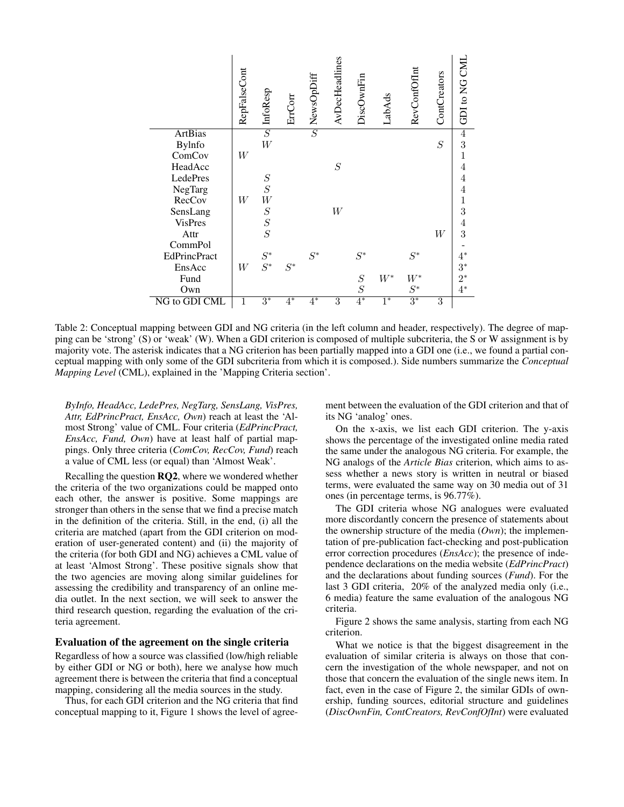|                     | RepFalseCont | InfoResp       | ErrCorr | NewsOpDiff     | AvDecHeadlines   | DiscOwnFin     | LabAds | RevConfOfInt | ContCreators     | GDI to NG CML  |
|---------------------|--------------|----------------|---------|----------------|------------------|----------------|--------|--------------|------------------|----------------|
| <b>ArtBias</b>      |              | $\overline{S}$ |         | $\overline{S}$ |                  |                |        |              |                  | $\overline{4}$ |
| <b>Bylnfo</b>       |              | W              |         |                |                  |                |        |              | $\boldsymbol{S}$ | 3              |
| ComCov              | W            |                |         |                |                  |                |        |              |                  | 1              |
| HeadAcc             |              |                |         |                | $\cal S$         |                |        |              |                  |                |
| LedePres            |              | $\cal S$       |         |                |                  |                |        |              |                  | $\overline{4}$ |
| NegTarg             |              | $\cal S$       |         |                |                  |                |        |              |                  | 4              |
| RecCov              | W            | W              |         |                |                  |                |        |              |                  | 1              |
| SensLang            |              | $\cal S$       |         |                | $\ensuremath{W}$ |                |        |              |                  | 3              |
| <b>VisPres</b>      |              | $\frac{S}{S}$  |         |                |                  |                |        |              |                  | 4              |
| Attr                |              |                |         |                |                  |                |        |              | W                | 3              |
| CommPol             |              |                |         |                |                  |                |        |              |                  |                |
| <b>EdPrincPract</b> |              | $S^\ast$       |         | $S^*$          |                  | $S^*$          |        | $S^\ast$     |                  | $4^*$          |
| EnsAcc              | W            | $S^*$          | $S^*$   |                |                  |                |        |              |                  | $3^*$          |
| Fund                |              |                |         |                |                  | $\cal S$       | $W^*$  | $W^*$        |                  | $2^*$          |
| Own                 |              |                |         |                |                  | $\overline{S}$ |        | $S^\ast$     |                  | $4^*$          |
| NG to GDI CML       | 1            | $3^*$          | $4^*$   | $4^*$          | 3                | $4*$           | $1^*$  | $3^*$        | 3                |                |

Table 2: Conceptual mapping between GDI and NG criteria (in the left column and header, respectively). The degree of mapping can be 'strong' (S) or 'weak' (W). When a GDI criterion is composed of multiple subcriteria, the S or W assignment is by majority vote. The asterisk indicates that a NG criterion has been partially mapped into a GDI one (i.e., we found a partial conceptual mapping with only some of the GDI subcriteria from which it is composed.). Side numbers summarize the *Conceptual Mapping Level* (CML), explained in the 'Mapping Criteria section'.

*ByInfo, HeadAcc, LedePres, NegTarg, SensLang, VisPres, Attr, EdPrincPract, EnsAcc, Own*) reach at least the 'Almost Strong' value of CML. Four criteria (*EdPrincPract, EnsAcc, Fund, Own*) have at least half of partial mappings. Only three criteria (*ComCov, RecCov, Fund*) reach a value of CML less (or equal) than 'Almost Weak'.

Recalling the question RQ2, where we wondered whether the criteria of the two organizations could be mapped onto each other, the answer is positive. Some mappings are stronger than others in the sense that we find a precise match in the definition of the criteria. Still, in the end, (i) all the criteria are matched (apart from the GDI criterion on moderation of user-generated content) and (ii) the majority of the criteria (for both GDI and NG) achieves a CML value of at least 'Almost Strong'. These positive signals show that the two agencies are moving along similar guidelines for assessing the credibility and transparency of an online media outlet. In the next section, we will seek to answer the third research question, regarding the evaluation of the criteria agreement.

#### Evaluation of the agreement on the single criteria

Regardless of how a source was classified (low/high reliable by either GDI or NG or both), here we analyse how much agreement there is between the criteria that find a conceptual mapping, considering all the media sources in the study.

Thus, for each GDI criterion and the NG criteria that find conceptual mapping to it, Figure 1 shows the level of agreement between the evaluation of the GDI criterion and that of its NG 'analog' ones.

On the x-axis, we list each GDI criterion. The y-axis shows the percentage of the investigated online media rated the same under the analogous NG criteria. For example, the NG analogs of the *Article Bias* criterion, which aims to assess whether a news story is written in neutral or biased terms, were evaluated the same way on 30 media out of 31 ones (in percentage terms, is 96.77%).

The GDI criteria whose NG analogues were evaluated more discordantly concern the presence of statements about the ownership structure of the media (*Own*); the implementation of pre-publication fact-checking and post-publication error correction procedures (*EnsAcc*); the presence of independence declarations on the media website (*EdPrincPract*) and the declarations about funding sources (*Fund*). For the last 3 GDI criteria, 20% of the analyzed media only (i.e., 6 media) feature the same evaluation of the analogous NG criteria.

Figure 2 shows the same analysis, starting from each NG criterion.

What we notice is that the biggest disagreement in the evaluation of similar criteria is always on those that concern the investigation of the whole newspaper, and not on those that concern the evaluation of the single news item. In fact, even in the case of Figure 2, the similar GDIs of ownership, funding sources, editorial structure and guidelines (*DiscOwnFin, ContCreators, RevConfOfInt*) were evaluated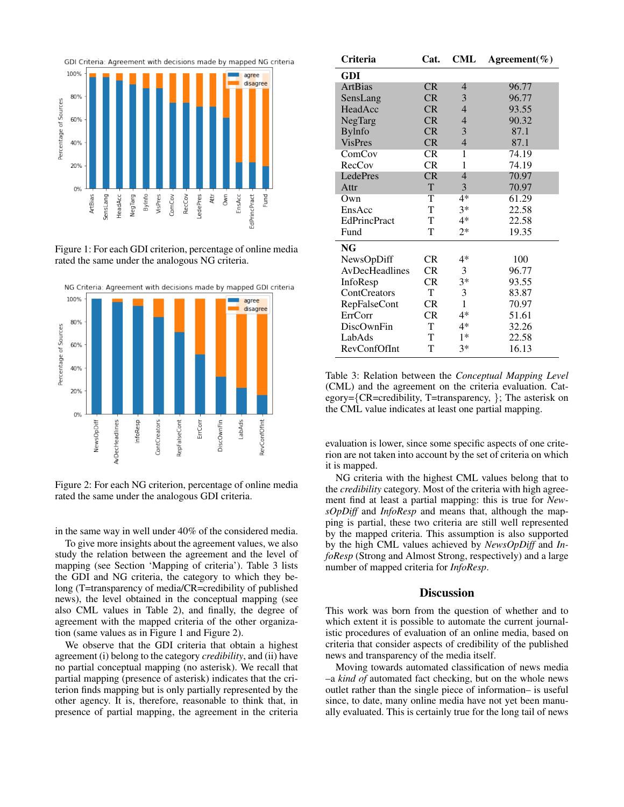

Figure 1: For each GDI criterion, percentage of online media rated the same under the analogous NG criteria.



Figure 2: For each NG criterion, percentage of online media rated the same under the analogous GDI criteria.

in the same way in well under 40% of the considered media.

To give more insights about the agreement values, we also study the relation between the agreement and the level of mapping (see Section 'Mapping of criteria'). Table 3 lists the GDI and NG criteria, the category to which they belong (T=transparency of media/CR=credibility of published news), the level obtained in the conceptual mapping (see also CML values in Table 2), and finally, the degree of agreement with the mapped criteria of the other organization (same values as in Figure 1 and Figure 2).

We observe that the GDI criteria that obtain a highest agreement (i) belong to the category *credibility*, and (ii) have no partial conceptual mapping (no asterisk). We recall that partial mapping (presence of asterisk) indicates that the criterion finds mapping but is only partially represented by the other agency. It is, therefore, reasonable to think that, in presence of partial mapping, the agreement in the criteria

| Criteria            | Cat.      | CML            | Agreement( $\%$ ) |
|---------------------|-----------|----------------|-------------------|
| <b>GDI</b>          |           |                |                   |
| <b>ArtBias</b>      | <b>CR</b> | 4              | 96.77             |
| SensLang            | CR        | 3              | 96.77             |
| HeadAcc             | CR        | $\overline{4}$ | 93.55             |
| NegTarg             | CR        | 4              | 90.32             |
| <b>Bylnfo</b>       | CR        | 3              | 87.1              |
| <b>VisPres</b>      | <b>CR</b> | $\overline{4}$ | 87.1              |
| ComCov              | <b>CR</b> | 1              | 74.19             |
| RecCov              | <b>CR</b> | 1              | 74.19             |
| LedePres            | CR        | $\overline{4}$ | 70.97             |
| Attr                | T         | 3              | 70.97             |
| Own                 | T         | $4*$           | 61.29             |
| EnsAcc              | T         | $3*$           | 22.58             |
| <b>EdPrincPract</b> | T         | $4*$           | 22.58             |
| Fund                | T         | $2*$           | 19.35             |
| NG                  |           |                |                   |
| NewsOpDiff          | <b>CR</b> | $4*$           | 100               |
| AvDecHeadlines      | CR        | 3              | 96.77             |
| InfoResp            | CR        | $3*$           | 93.55             |
| ContCreators        | T         | 3              | 83.87             |
| <b>RepFalseCont</b> | <b>CR</b> | 1              | 70.97             |
| ErrCorr             | CR        | $4*$           | 51.61             |
| DiscOwnFin          | T         | $4*$           | 32.26             |
| LabAds              | T         | $1*$           | 22.58             |
| RevConfOfInt        | T         | $3*$           | 16.13             |

Table 3: Relation between the *Conceptual Mapping Level* (CML) and the agreement on the criteria evaluation. Category={CR=credibility, T=transparency, }; The asterisk on the CML value indicates at least one partial mapping.

evaluation is lower, since some specific aspects of one criterion are not taken into account by the set of criteria on which it is mapped.

NG criteria with the highest CML values belong that to the *credibility* category. Most of the criteria with high agreement find at least a partial mapping: this is true for *NewsOpDiff* and *InfoResp* and means that, although the mapping is partial, these two criteria are still well represented by the mapped criteria. This assumption is also supported by the high CML values achieved by *NewsOpDiff* and *InfoResp* (Strong and Almost Strong, respectively) and a large number of mapped criteria for *InfoResp*.

#### **Discussion**

This work was born from the question of whether and to which extent it is possible to automate the current journalistic procedures of evaluation of an online media, based on criteria that consider aspects of credibility of the published news and transparency of the media itself.

Moving towards automated classification of news media –a *kind of* automated fact checking, but on the whole news outlet rather than the single piece of information– is useful since, to date, many online media have not yet been manually evaluated. This is certainly true for the long tail of news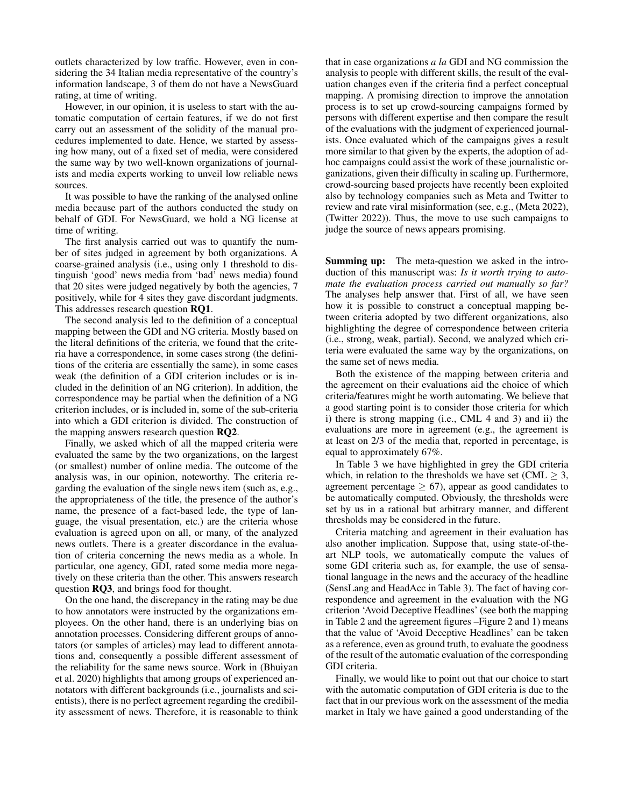outlets characterized by low traffic. However, even in considering the 34 Italian media representative of the country's information landscape, 3 of them do not have a NewsGuard rating, at time of writing.

However, in our opinion, it is useless to start with the automatic computation of certain features, if we do not first carry out an assessment of the solidity of the manual procedures implemented to date. Hence, we started by assessing how many, out of a fixed set of media, were considered the same way by two well-known organizations of journalists and media experts working to unveil low reliable news sources.

It was possible to have the ranking of the analysed online media because part of the authors conducted the study on behalf of GDI. For NewsGuard, we hold a NG license at time of writing.

The first analysis carried out was to quantify the number of sites judged in agreement by both organizations. A coarse-grained analysis (i.e., using only 1 threshold to distinguish 'good' news media from 'bad' news media) found that 20 sites were judged negatively by both the agencies, 7 positively, while for 4 sites they gave discordant judgments. This addresses research question RQ1.

The second analysis led to the definition of a conceptual mapping between the GDI and NG criteria. Mostly based on the literal definitions of the criteria, we found that the criteria have a correspondence, in some cases strong (the definitions of the criteria are essentially the same), in some cases weak (the definition of a GDI criterion includes or is included in the definition of an NG criterion). In addition, the correspondence may be partial when the definition of a NG criterion includes, or is included in, some of the sub-criteria into which a GDI criterion is divided. The construction of the mapping answers research question RQ2.

Finally, we asked which of all the mapped criteria were evaluated the same by the two organizations, on the largest (or smallest) number of online media. The outcome of the analysis was, in our opinion, noteworthy. The criteria regarding the evaluation of the single news item (such as, e.g., the appropriateness of the title, the presence of the author's name, the presence of a fact-based lede, the type of language, the visual presentation, etc.) are the criteria whose evaluation is agreed upon on all, or many, of the analyzed news outlets. There is a greater discordance in the evaluation of criteria concerning the news media as a whole. In particular, one agency, GDI, rated some media more negatively on these criteria than the other. This answers research question RQ3, and brings food for thought.

On the one hand, the discrepancy in the rating may be due to how annotators were instructed by the organizations employees. On the other hand, there is an underlying bias on annotation processes. Considering different groups of annotators (or samples of articles) may lead to different annotations and, consequently a possible different assessment of the reliability for the same news source. Work in (Bhuiyan et al. 2020) highlights that among groups of experienced annotators with different backgrounds (i.e., journalists and scientists), there is no perfect agreement regarding the credibility assessment of news. Therefore, it is reasonable to think

that in case organizations *a la* GDI and NG commission the analysis to people with different skills, the result of the evaluation changes even if the criteria find a perfect conceptual mapping. A promising direction to improve the annotation process is to set up crowd-sourcing campaigns formed by persons with different expertise and then compare the result of the evaluations with the judgment of experienced journalists. Once evaluated which of the campaigns gives a result more similar to that given by the experts, the adoption of adhoc campaigns could assist the work of these journalistic organizations, given their difficulty in scaling up. Furthermore, crowd-sourcing based projects have recently been exploited also by technology companies such as Meta and Twitter to review and rate viral misinformation (see, e.g., (Meta 2022), (Twitter 2022)). Thus, the move to use such campaigns to judge the source of news appears promising.

Summing up: The meta-question we asked in the introduction of this manuscript was: *Is it worth trying to automate the evaluation process carried out manually so far?* The analyses help answer that. First of all, we have seen how it is possible to construct a conceptual mapping between criteria adopted by two different organizations, also highlighting the degree of correspondence between criteria (i.e., strong, weak, partial). Second, we analyzed which criteria were evaluated the same way by the organizations, on the same set of news media.

Both the existence of the mapping between criteria and the agreement on their evaluations aid the choice of which criteria/features might be worth automating. We believe that a good starting point is to consider those criteria for which i) there is strong mapping (i.e., CML 4 and 3) and ii) the evaluations are more in agreement (e.g., the agreement is at least on 2/3 of the media that, reported in percentage, is equal to approximately 67%.

In Table 3 we have highlighted in grey the GDI criteria which, in relation to the thresholds we have set (CML  $\geq$  3, agreement percentage  $> 67$ ), appear as good candidates to be automatically computed. Obviously, the thresholds were set by us in a rational but arbitrary manner, and different thresholds may be considered in the future.

Criteria matching and agreement in their evaluation has also another implication. Suppose that, using state-of-theart NLP tools, we automatically compute the values of some GDI criteria such as, for example, the use of sensational language in the news and the accuracy of the headline (SensLang and HeadAcc in Table 3). The fact of having correspondence and agreement in the evaluation with the NG criterion 'Avoid Deceptive Headlines' (see both the mapping in Table 2 and the agreement figures –Figure 2 and 1) means that the value of 'Avoid Deceptive Headlines' can be taken as a reference, even as ground truth, to evaluate the goodness of the result of the automatic evaluation of the corresponding GDI criteria.

Finally, we would like to point out that our choice to start with the automatic computation of GDI criteria is due to the fact that in our previous work on the assessment of the media market in Italy we have gained a good understanding of the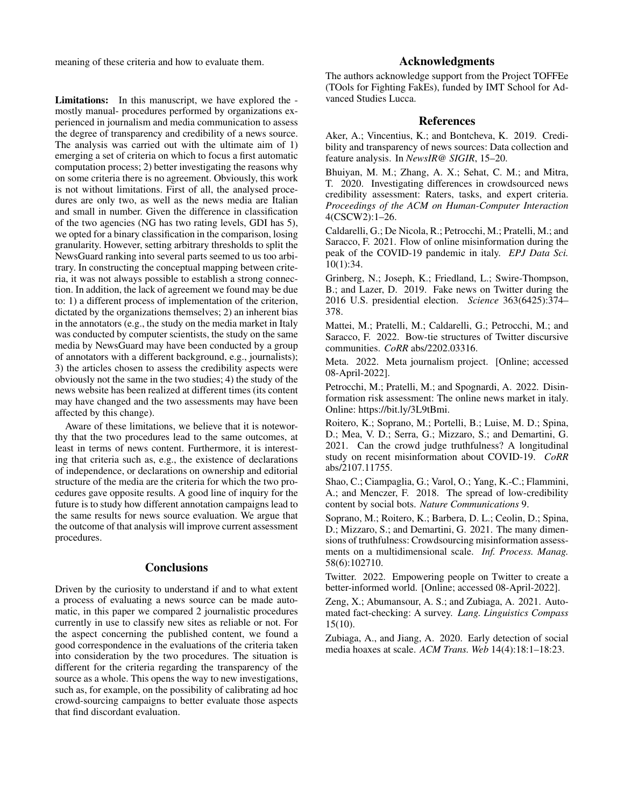meaning of these criteria and how to evaluate them.

Limitations: In this manuscript, we have explored the mostly manual- procedures performed by organizations experienced in journalism and media communication to assess the degree of transparency and credibility of a news source. The analysis was carried out with the ultimate aim of 1) emerging a set of criteria on which to focus a first automatic computation process; 2) better investigating the reasons why on some criteria there is no agreement. Obviously, this work is not without limitations. First of all, the analysed procedures are only two, as well as the news media are Italian and small in number. Given the difference in classification of the two agencies (NG has two rating levels, GDI has 5), we opted for a binary classification in the comparison, losing granularity. However, setting arbitrary thresholds to split the NewsGuard ranking into several parts seemed to us too arbitrary. In constructing the conceptual mapping between criteria, it was not always possible to establish a strong connection. In addition, the lack of agreement we found may be due to: 1) a different process of implementation of the criterion, dictated by the organizations themselves; 2) an inherent bias in the annotators (e.g., the study on the media market in Italy was conducted by computer scientists, the study on the same media by NewsGuard may have been conducted by a group of annotators with a different background, e.g., journalists); 3) the articles chosen to assess the credibility aspects were obviously not the same in the two studies; 4) the study of the news website has been realized at different times (its content may have changed and the two assessments may have been affected by this change).

Aware of these limitations, we believe that it is noteworthy that the two procedures lead to the same outcomes, at least in terms of news content. Furthermore, it is interesting that criteria such as, e.g., the existence of declarations of independence, or declarations on ownership and editorial structure of the media are the criteria for which the two procedures gave opposite results. A good line of inquiry for the future is to study how different annotation campaigns lead to the same results for news source evaluation. We argue that the outcome of that analysis will improve current assessment procedures.

## **Conclusions**

Driven by the curiosity to understand if and to what extent a process of evaluating a news source can be made automatic, in this paper we compared 2 journalistic procedures currently in use to classify new sites as reliable or not. For the aspect concerning the published content, we found a good correspondence in the evaluations of the criteria taken into consideration by the two procedures. The situation is different for the criteria regarding the transparency of the source as a whole. This opens the way to new investigations, such as, for example, on the possibility of calibrating ad hoc crowd-sourcing campaigns to better evaluate those aspects that find discordant evaluation.

## Acknowledgments

The authors acknowledge support from the Project TOFFEe (TOols for Fighting FakEs), funded by IMT School for Advanced Studies Lucca.

## References

Aker, A.; Vincentius, K.; and Bontcheva, K. 2019. Credibility and transparency of news sources: Data collection and feature analysis. In *NewsIR@ SIGIR*, 15–20.

Bhuiyan, M. M.; Zhang, A. X.; Sehat, C. M.; and Mitra, T. 2020. Investigating differences in crowdsourced news credibility assessment: Raters, tasks, and expert criteria. *Proceedings of the ACM on Human-Computer Interaction* 4(CSCW2):1–26.

Caldarelli, G.; De Nicola, R.; Petrocchi, M.; Pratelli, M.; and Saracco, F. 2021. Flow of online misinformation during the peak of the COVID-19 pandemic in italy. *EPJ Data Sci.* 10(1):34.

Grinberg, N.; Joseph, K.; Friedland, L.; Swire-Thompson, B.; and Lazer, D. 2019. Fake news on Twitter during the 2016 U.S. presidential election. *Science* 363(6425):374– 378.

Mattei, M.; Pratelli, M.; Caldarelli, G.; Petrocchi, M.; and Saracco, F. 2022. Bow-tie structures of Twitter discursive communities. *CoRR* abs/2202.03316.

Meta. 2022. Meta journalism project. [Online; accessed 08-April-2022].

Petrocchi, M.; Pratelli, M.; and Spognardi, A. 2022. Disinformation risk assessment: The online news market in italy. Online: https://bit.ly/3L9tBmi.

Roitero, K.; Soprano, M.; Portelli, B.; Luise, M. D.; Spina, D.; Mea, V. D.; Serra, G.; Mizzaro, S.; and Demartini, G. 2021. Can the crowd judge truthfulness? A longitudinal study on recent misinformation about COVID-19. *CoRR* abs/2107.11755.

Shao, C.; Ciampaglia, G.; Varol, O.; Yang, K.-C.; Flammini, A.; and Menczer, F. 2018. The spread of low-credibility content by social bots. *Nature Communications* 9.

Soprano, M.; Roitero, K.; Barbera, D. L.; Ceolin, D.; Spina, D.; Mizzaro, S.; and Demartini, G. 2021. The many dimensions of truthfulness: Crowdsourcing misinformation assessments on a multidimensional scale. *Inf. Process. Manag.* 58(6):102710.

Twitter. 2022. Empowering people on Twitter to create a better-informed world. [Online; accessed 08-April-2022].

Zeng, X.; Abumansour, A. S.; and Zubiaga, A. 2021. Automated fact-checking: A survey. *Lang. Linguistics Compass* 15(10).

Zubiaga, A., and Jiang, A. 2020. Early detection of social media hoaxes at scale. *ACM Trans. Web* 14(4):18:1–18:23.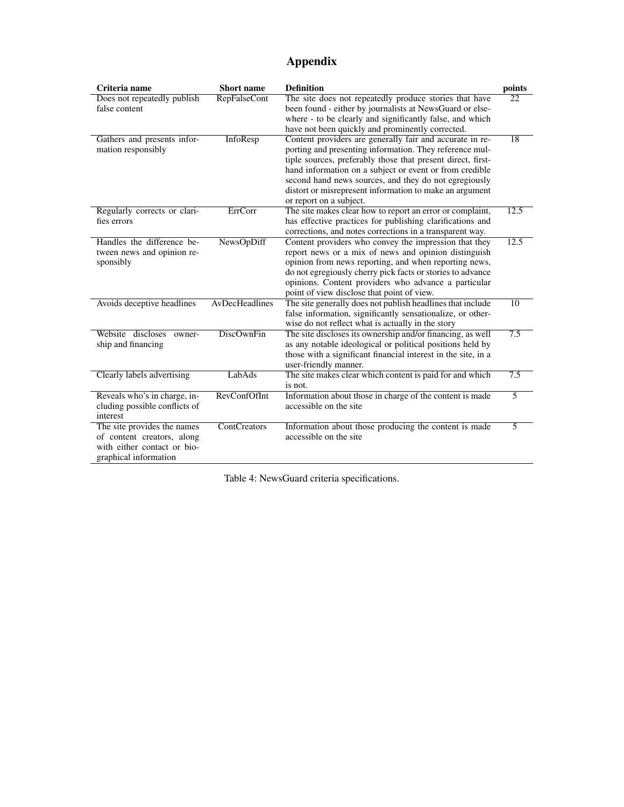# Appendix

| Criteria name                                                                                                     | Short name          | <b>Definition</b>                                                                                                                                                                                                                                                                                                                                                                            | points                   |
|-------------------------------------------------------------------------------------------------------------------|---------------------|----------------------------------------------------------------------------------------------------------------------------------------------------------------------------------------------------------------------------------------------------------------------------------------------------------------------------------------------------------------------------------------------|--------------------------|
| Does not repeatedly publish<br>false content                                                                      | <b>RepFalseCont</b> | The site does not repeatedly produce stories that have<br>been found - either by journalists at NewsGuard or else-<br>where - to be clearly and significantly false, and which<br>have not been quickly and prominently corrected.                                                                                                                                                           | $\overline{22}$          |
| Gathers and presents infor-<br>mation responsibly                                                                 | InfoResp            | Content providers are generally fair and accurate in re-<br>porting and presenting information. They reference mul-<br>tiple sources, preferably those that present direct, first-<br>hand information on a subject or event or from credible<br>second hand news sources, and they do not egregiously<br>distort or misrepresent information to make an argument<br>or report on a subject. | $\overline{18}$          |
| Regularly corrects or clari-<br>fies errors                                                                       | ErrCorr             | The site makes clear how to report an error or complaint,<br>has effective practices for publishing clarifications and<br>corrections, and notes corrections in a transparent way.                                                                                                                                                                                                           | 12.5                     |
| Handles the difference be-<br>tween news and opinion re-<br>sponsibly                                             | NewsOpDiff          | Content providers who convey the impression that they<br>report news or a mix of news and opinion distinguish<br>opinion from news reporting, and when reporting news,<br>do not egregiously cherry pick facts or stories to advance<br>opinions. Content providers who advance a particular<br>point of view disclose that point of view.                                                   | 12.5                     |
| Avoids deceptive headlines                                                                                        | AvDecHeadlines      | The site generally does not publish headlines that include<br>false information, significantly sensationalize, or other-<br>wise do not reflect what is actually in the story                                                                                                                                                                                                                | $\overline{10}$          |
| Website discloses<br>owner-<br>ship and financing                                                                 | <b>DiscOwnFin</b>   | The site discloses its ownership and/or financing, as well<br>as any notable ideological or political positions held by<br>those with a significant financial interest in the site, in a<br>user-friendly manner.                                                                                                                                                                            | 7.5                      |
| Clearly labels advertising                                                                                        | LabAds              | The site makes clear which content is paid for and which<br>is not.                                                                                                                                                                                                                                                                                                                          | $\overline{7.5}$         |
| Reveals who's in charge, in-<br>cluding possible conflicts of<br>interest                                         | RevConfOfInt        | Information about those in charge of the content is made<br>accessible on the site                                                                                                                                                                                                                                                                                                           | $\overline{\phantom{1}}$ |
| The site provides the names<br>of content creators, along<br>with either contact or bio-<br>graphical information | <b>ContCreators</b> | Information about those producing the content is made<br>accessible on the site                                                                                                                                                                                                                                                                                                              | 5                        |

Table 4: NewsGuard criteria specifications.